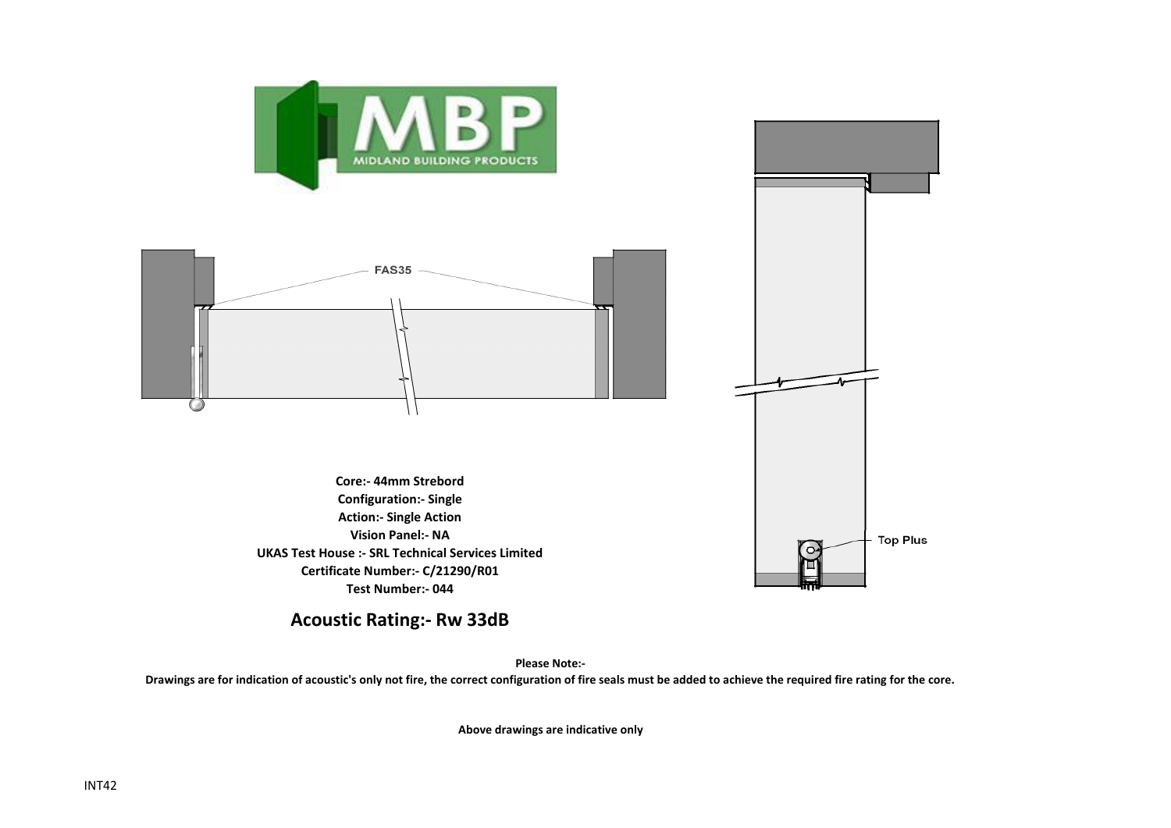

**Acoustic Rating:- Rw 33dB**

**Please Note:-** 

**Drawings are for indication of acoustic's only not fire, the correct configuration of fire seals must be added to achieve the required fire rating for the core.**

**Above drawings are indicative only**